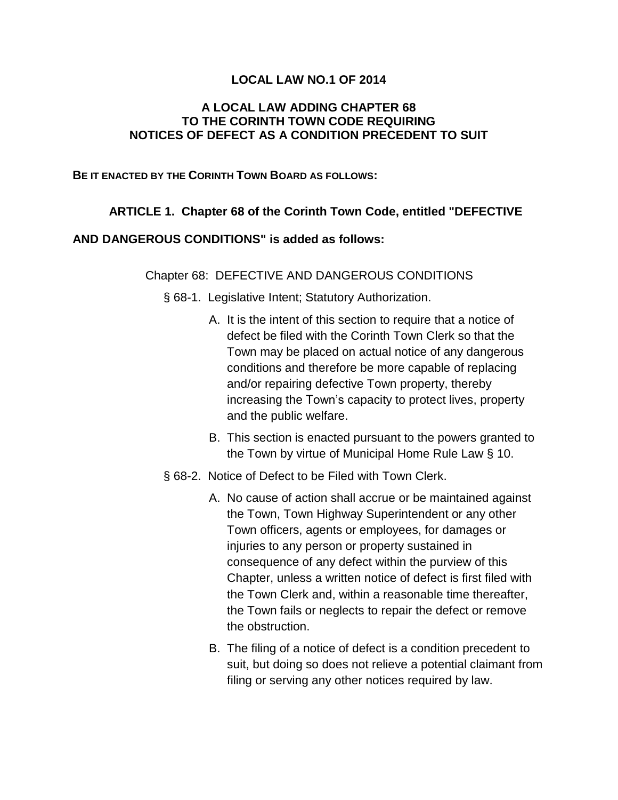## **LOCAL LAW NO.1 OF 2014**

## **A LOCAL LAW ADDING CHAPTER 68 TO THE CORINTH TOWN CODE REQUIRING NOTICES OF DEFECT AS A CONDITION PRECEDENT TO SUIT**

#### **BE IT ENACTED BY THE CORINTH TOWN BOARD AS FOLLOWS:**

# **ARTICLE 1. Chapter 68 of the Corinth Town Code, entitled "DEFECTIVE**

## **AND DANGEROUS CONDITIONS" is added as follows:**

### Chapter 68: DEFECTIVE AND DANGEROUS CONDITIONS

§ 68-1. Legislative Intent; Statutory Authorization.

- A. It is the intent of this section to require that a notice of defect be filed with the Corinth Town Clerk so that the Town may be placed on actual notice of any dangerous conditions and therefore be more capable of replacing and/or repairing defective Town property, thereby increasing the Town's capacity to protect lives, property and the public welfare.
- B. This section is enacted pursuant to the powers granted to the Town by virtue of Municipal Home Rule Law § 10.
- § 68-2. Notice of Defect to be Filed with Town Clerk.
	- A. No cause of action shall accrue or be maintained against the Town, Town Highway Superintendent or any other Town officers, agents or employees, for damages or injuries to any person or property sustained in consequence of any defect within the purview of this Chapter, unless a written notice of defect is first filed with the Town Clerk and, within a reasonable time thereafter, the Town fails or neglects to repair the defect or remove the obstruction.
	- B. The filing of a notice of defect is a condition precedent to suit, but doing so does not relieve a potential claimant from filing or serving any other notices required by law.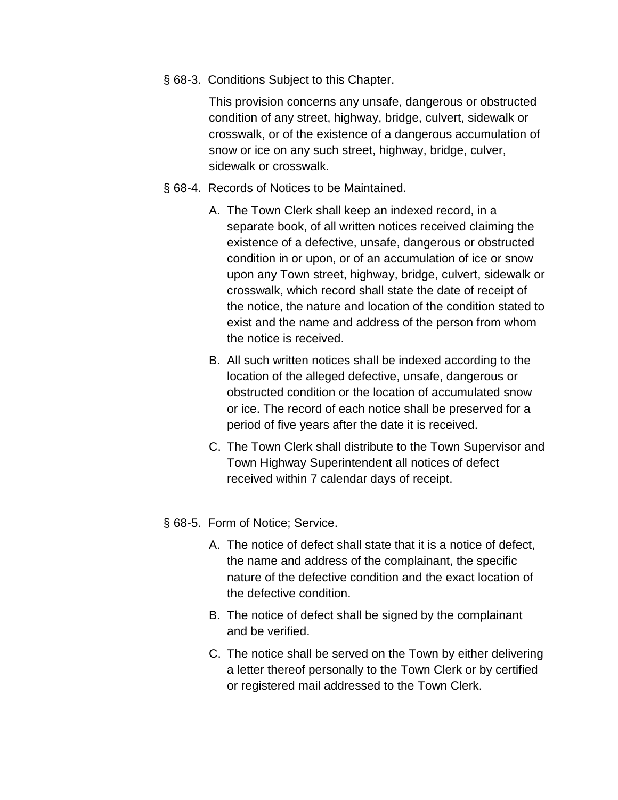§ 68-3. Conditions Subject to this Chapter.

This provision concerns any unsafe, dangerous or obstructed condition of any street, highway, bridge, culvert, sidewalk or crosswalk, or of the existence of a dangerous accumulation of snow or ice on any such street, highway, bridge, culver, sidewalk or crosswalk.

- § 68-4. Records of Notices to be Maintained.
	- A. The Town Clerk shall keep an indexed record, in a separate book, of all written notices received claiming the existence of a defective, unsafe, dangerous or obstructed condition in or upon, or of an accumulation of ice or snow upon any Town street, highway, bridge, culvert, sidewalk or crosswalk, which record shall state the date of receipt of the notice, the nature and location of the condition stated to exist and the name and address of the person from whom the notice is received.
	- B. All such written notices shall be indexed according to the location of the alleged defective, unsafe, dangerous or obstructed condition or the location of accumulated snow or ice. The record of each notice shall be preserved for a period of five years after the date it is received.
	- C. The Town Clerk shall distribute to the Town Supervisor and Town Highway Superintendent all notices of defect received within 7 calendar days of receipt.
- § 68-5. Form of Notice; Service.
	- A. The notice of defect shall state that it is a notice of defect, the name and address of the complainant, the specific nature of the defective condition and the exact location of the defective condition.
	- B. The notice of defect shall be signed by the complainant and be verified.
	- C. The notice shall be served on the Town by either delivering a letter thereof personally to the Town Clerk or by certified or registered mail addressed to the Town Clerk.